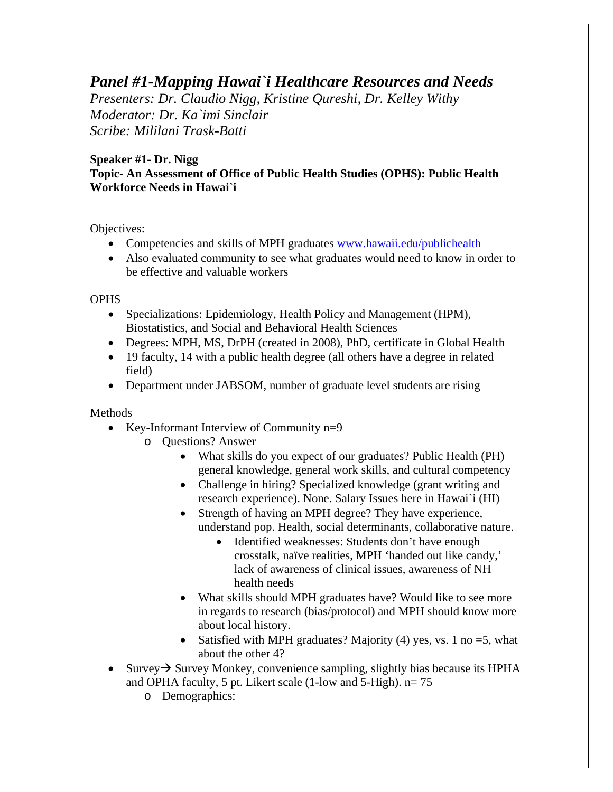# *Panel #1-Mapping Hawai`i Healthcare Resources and Needs*

*Presenters: Dr. Claudio Nigg, Kristine Qureshi, Dr. Kelley Withy Moderator: Dr. Ka`imi Sinclair Scribe: Mililani Trask-Batti* 

# **Speaker #1- Dr. Nigg Topic- An Assessment of Office of Public Health Studies (OPHS): Public Health Workforce Needs in Hawai`i**

Objectives:

- Competencies and skills of MPH graduates www.hawaii.edu/publichealth
- Also evaluated community to see what graduates would need to know in order to be effective and valuable workers

**OPHS** 

- Specializations: Epidemiology, Health Policy and Management (HPM), Biostatistics, and Social and Behavioral Health Sciences
- Degrees: MPH, MS, DrPH (created in 2008), PhD, certificate in Global Health
- 19 faculty, 14 with a public health degree (all others have a degree in related field)
- Department under JABSOM, number of graduate level students are rising

Methods

- Key-Informant Interview of Community n=9
	- o Questions? Answer
		- What skills do you expect of our graduates? Public Health (PH) general knowledge, general work skills, and cultural competency
		- Challenge in hiring? Specialized knowledge (grant writing and research experience). None. Salary Issues here in Hawai`i (HI)
		- Strength of having an MPH degree? They have experience, understand pop. Health, social determinants, collaborative nature.
			- Identified weaknesses: Students don't have enough crosstalk, naïve realities, MPH 'handed out like candy,' lack of awareness of clinical issues, awareness of NH health needs
		- What skills should MPH graduates have? Would like to see more in regards to research (bias/protocol) and MPH should know more about local history.
		- Satisfied with MPH graduates? Majority (4) yes, vs. 1 no  $=$  5, what about the other 4?
- Survey  $\rightarrow$  Survey Monkey, convenience sampling, slightly bias because its HPHA and OPHA faculty, 5 pt. Likert scale (1-low and 5-High). n= 75
	- o Demographics: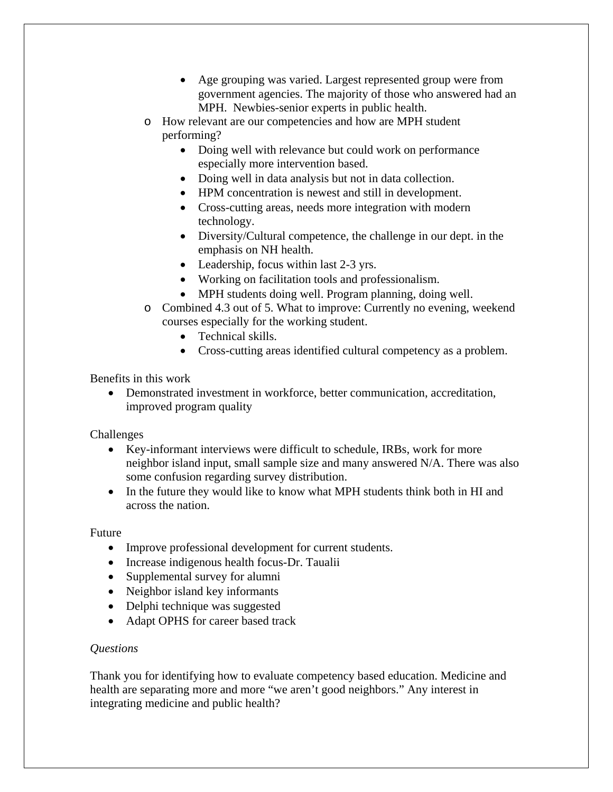- Age grouping was varied. Largest represented group were from government agencies. The majority of those who answered had an MPH. Newbies-senior experts in public health.
- o How relevant are our competencies and how are MPH student performing?
	- Doing well with relevance but could work on performance especially more intervention based.
	- Doing well in data analysis but not in data collection.
	- HPM concentration is newest and still in development.
	- Cross-cutting areas, needs more integration with modern technology.
	- Diversity/Cultural competence, the challenge in our dept. in the emphasis on NH health.
	- Leadership, focus within last 2-3 yrs.
	- Working on facilitation tools and professionalism.
	- MPH students doing well. Program planning, doing well.
- o Combined 4.3 out of 5. What to improve: Currently no evening, weekend courses especially for the working student.
	- Technical skills.
	- Cross-cutting areas identified cultural competency as a problem.

Benefits in this work

 Demonstrated investment in workforce, better communication, accreditation, improved program quality

Challenges

- Key-informant interviews were difficult to schedule, IRBs, work for more neighbor island input, small sample size and many answered N/A. There was also some confusion regarding survey distribution.
- In the future they would like to know what MPH students think both in HI and across the nation.

Future

- Improve professional development for current students.
- Increase indigenous health focus-Dr. Taualii
- Supplemental survey for alumni
- Neighbor island key informants
- Delphi technique was suggested
- Adapt OPHS for career based track

#### *Questions*

Thank you for identifying how to evaluate competency based education. Medicine and health are separating more and more "we aren't good neighbors." Any interest in integrating medicine and public health?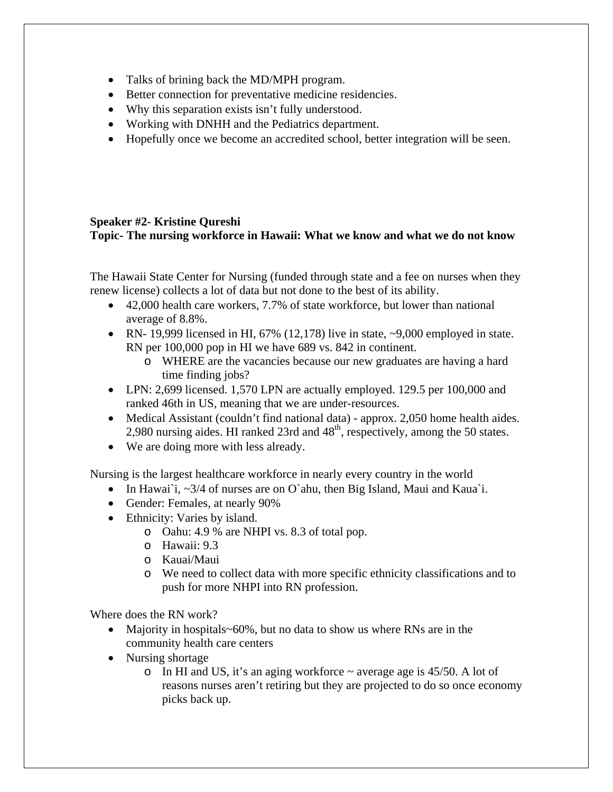- Talks of brining back the MD/MPH program.
- Better connection for preventative medicine residencies.
- Why this separation exists isn't fully understood.
- Working with DNHH and the Pediatrics department.
- Hopefully once we become an accredited school, better integration will be seen.

#### **Speaker #2- Kristine Qureshi Topic- The nursing workforce in Hawaii: What we know and what we do not know**

The Hawaii State Center for Nursing (funded through state and a fee on nurses when they renew license) collects a lot of data but not done to the best of its ability.

- 42,000 health care workers, 7.7% of state workforce, but lower than national average of 8.8%.
- RN- 19,999 licensed in HI,  $67\%$  (12,178) live in state,  $\sim$ 9,000 employed in state. RN per 100,000 pop in HI we have 689 vs. 842 in continent.
	- o WHERE are the vacancies because our new graduates are having a hard time finding jobs?
- LPN: 2,699 licensed. 1,570 LPN are actually employed. 129.5 per 100,000 and ranked 46th in US, meaning that we are under-resources.
- Medical Assistant (couldn't find national data) approx. 2,050 home health aides. 2,980 nursing aides. HI ranked 23rd and  $48<sup>th</sup>$ , respectively, among the 50 states.
- We are doing more with less already.

Nursing is the largest healthcare workforce in nearly every country in the world

- In Hawai`i, ~3/4 of nurses are on O`ahu, then Big Island, Maui and Kaua`i.
- Gender: Females, at nearly 90%
- Ethnicity: Varies by island.
	- o Oahu: 4.9 % are NHPI vs. 8.3 of total pop.
	- o Hawaii: 9.3
	- o Kauai/Maui
	- o We need to collect data with more specific ethnicity classifications and to push for more NHPI into RN profession.

Where does the RN work?

- Majority in hospitals~60%, but no data to show us where RNs are in the community health care centers
- Nursing shortage
	- o In HI and US, it's an aging workforce  $\sim$  average age is 45/50. A lot of reasons nurses aren't retiring but they are projected to do so once economy picks back up.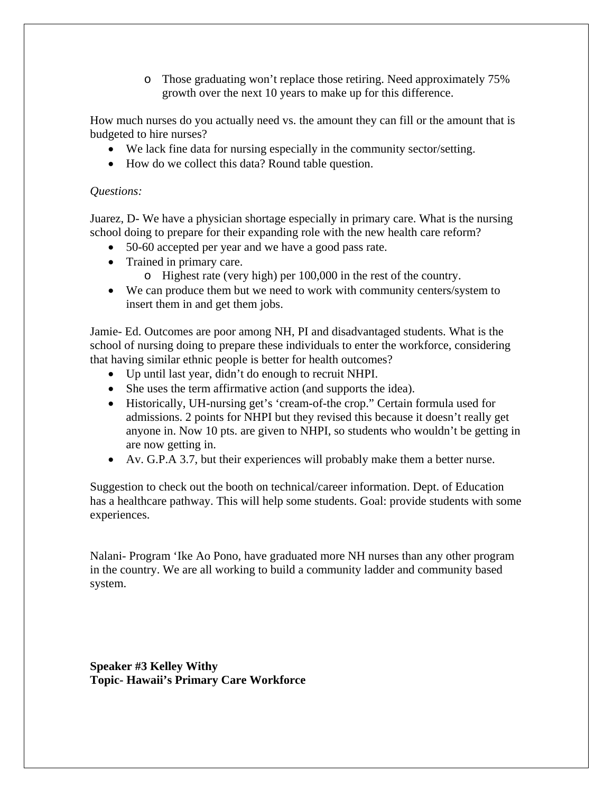o Those graduating won't replace those retiring. Need approximately 75% growth over the next 10 years to make up for this difference.

How much nurses do you actually need vs. the amount they can fill or the amount that is budgeted to hire nurses?

- We lack fine data for nursing especially in the community sector/setting.
- How do we collect this data? Round table question.

#### *Questions:*

Juarez, D- We have a physician shortage especially in primary care. What is the nursing school doing to prepare for their expanding role with the new health care reform?

- 50-60 accepted per year and we have a good pass rate.
- Trained in primary care.
	- o Highest rate (very high) per 100,000 in the rest of the country.
- We can produce them but we need to work with community centers/system to insert them in and get them jobs.

Jamie- Ed. Outcomes are poor among NH, PI and disadvantaged students. What is the school of nursing doing to prepare these individuals to enter the workforce, considering that having similar ethnic people is better for health outcomes?

- Up until last year, didn't do enough to recruit NHPI.
- She uses the term affirmative action (and supports the idea).
- Historically, UH-nursing get's 'cream-of-the crop." Certain formula used for admissions. 2 points for NHPI but they revised this because it doesn't really get anyone in. Now 10 pts. are given to NHPI, so students who wouldn't be getting in are now getting in.
- Av. G.P.A 3.7, but their experiences will probably make them a better nurse.

Suggestion to check out the booth on technical/career information. Dept. of Education has a healthcare pathway. This will help some students. Goal: provide students with some experiences.

Nalani- Program 'Ike Ao Pono, have graduated more NH nurses than any other program in the country. We are all working to build a community ladder and community based system.

**Speaker #3 Kelley Withy Topic- Hawaii's Primary Care Workforce**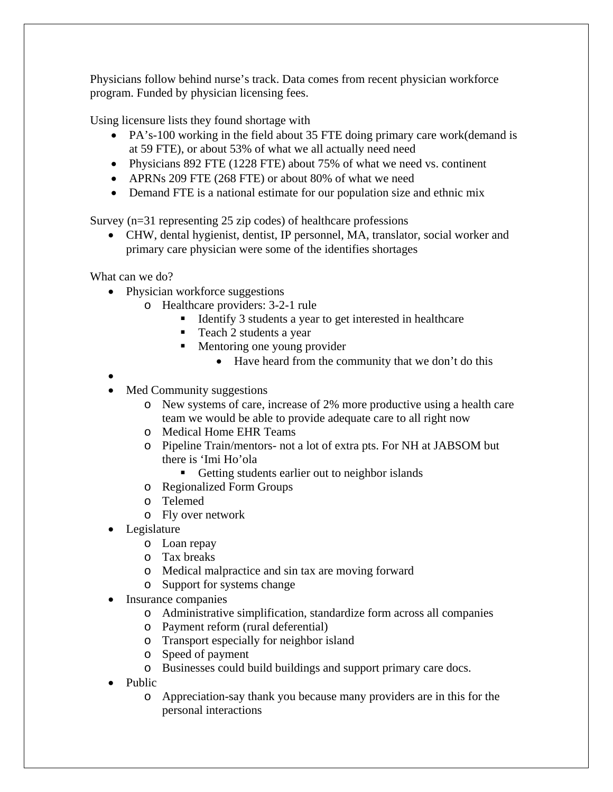Physicians follow behind nurse's track. Data comes from recent physician workforce program. Funded by physician licensing fees.

Using licensure lists they found shortage with

- PA's-100 working in the field about 35 FTE doing primary care work(demand is at 59 FTE), or about 53% of what we all actually need need
- Physicians 892 FTE (1228 FTE) about 75% of what we need vs. continent
- APRNs 209 FTE (268 FTE) or about 80% of what we need
- Demand FTE is a national estimate for our population size and ethnic mix

Survey (n=31 representing 25 zip codes) of healthcare professions

 CHW, dental hygienist, dentist, IP personnel, MA, translator, social worker and primary care physician were some of the identifies shortages

What can we do?

- Physician workforce suggestions
	- o Healthcare providers: 3-2-1 rule
		- Identify 3 students a year to get interested in healthcare
		- Teach 2 students a year
		- **Mentoring one young provider** 
			- Have heard from the community that we don't do this

- $\bullet$
- Med Community suggestions
	- o New systems of care, increase of 2% more productive using a health care team we would be able to provide adequate care to all right now
	- o Medical Home EHR Teams
	- o Pipeline Train/mentors- not a lot of extra pts. For NH at JABSOM but there is 'Imi Ho'ola
		- Getting students earlier out to neighbor islands
	- o Regionalized Form Groups
	- o Telemed
	- o Fly over network
- Legislature
	- o Loan repay
	- o Tax breaks
	- o Medical malpractice and sin tax are moving forward
	- o Support for systems change
- Insurance companies
	- o Administrative simplification, standardize form across all companies
	- o Payment reform (rural deferential)
	- o Transport especially for neighbor island
	- o Speed of payment
	- o Businesses could build buildings and support primary care docs.
- Public
	- o Appreciation-say thank you because many providers are in this for the personal interactions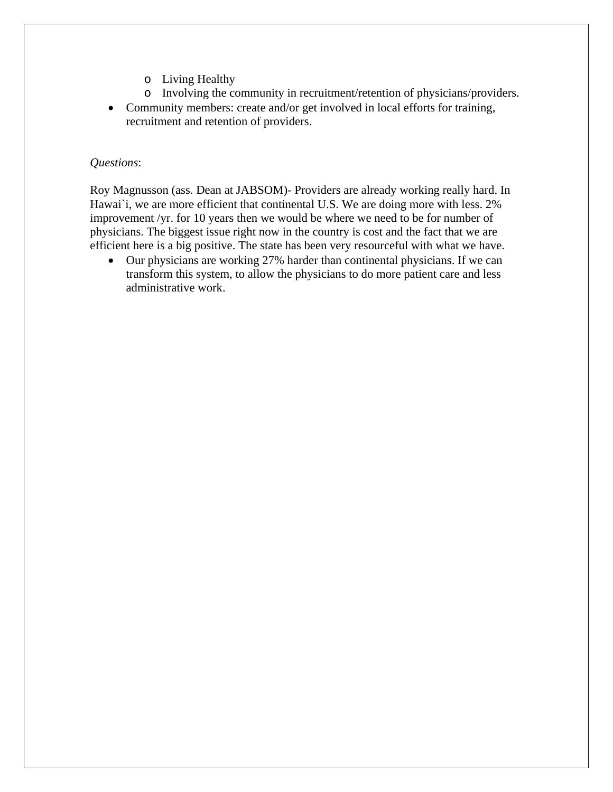- o Living Healthy
- o Involving the community in recruitment/retention of physicians/providers.
- Community members: create and/or get involved in local efforts for training, recruitment and retention of providers.

#### *Questions*:

Roy Magnusson (ass. Dean at JABSOM)- Providers are already working really hard. In Hawai`i, we are more efficient that continental U.S. We are doing more with less. 2% improvement /yr. for 10 years then we would be where we need to be for number of physicians. The biggest issue right now in the country is cost and the fact that we are efficient here is a big positive. The state has been very resourceful with what we have.

 Our physicians are working 27% harder than continental physicians. If we can transform this system, to allow the physicians to do more patient care and less administrative work.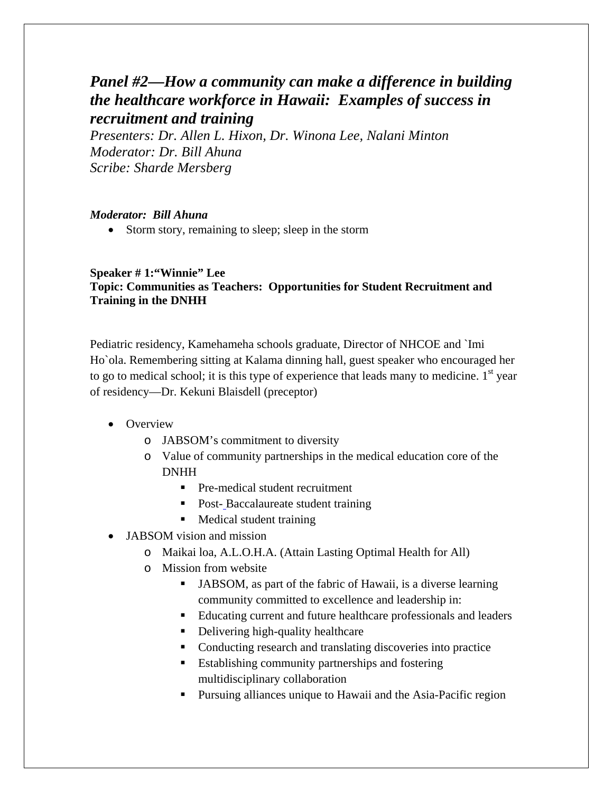# *Panel #2—How a community can make a difference in building the healthcare workforce in Hawaii: Examples of success in recruitment and training*

*Presenters: Dr. Allen L. Hixon, Dr. Winona Lee, Nalani Minton Moderator: Dr. Bill Ahuna Scribe: Sharde Mersberg* 

#### *Moderator: Bill Ahuna*

• Storm story, remaining to sleep; sleep in the storm

## **Speaker # 1:"Winnie" Lee Topic: Communities as Teachers: Opportunities for Student Recruitment and Training in the DNHH**

Pediatric residency, Kamehameha schools graduate, Director of NHCOE and `Imi Ho`ola. Remembering sitting at Kalama dinning hall, guest speaker who encouraged her to go to medical school; it is this type of experience that leads many to medicine.  $1<sup>st</sup>$  year of residency—Dr. Kekuni Blaisdell (preceptor)

- Overview
	- o JABSOM's commitment to diversity
	- o Value of community partnerships in the medical education core of the DNHH
		- Pre-medical student recruitment
		- Post-Baccalaureate student training
		- **Medical student training**
- JABSOM vision and mission
	- o Maikai loa, A.L.O.H.A. (Attain Lasting Optimal Health for All)
	- o Mission from website
		- JABSOM, as part of the fabric of Hawaii, is a diverse learning community committed to excellence and leadership in:
		- Educating current and future healthcare professionals and leaders
		- Delivering high-quality healthcare
		- Conducting research and translating discoveries into practice
		- Establishing community partnerships and fostering multidisciplinary collaboration
		- **Pursuing alliances unique to Hawaii and the Asia-Pacific region**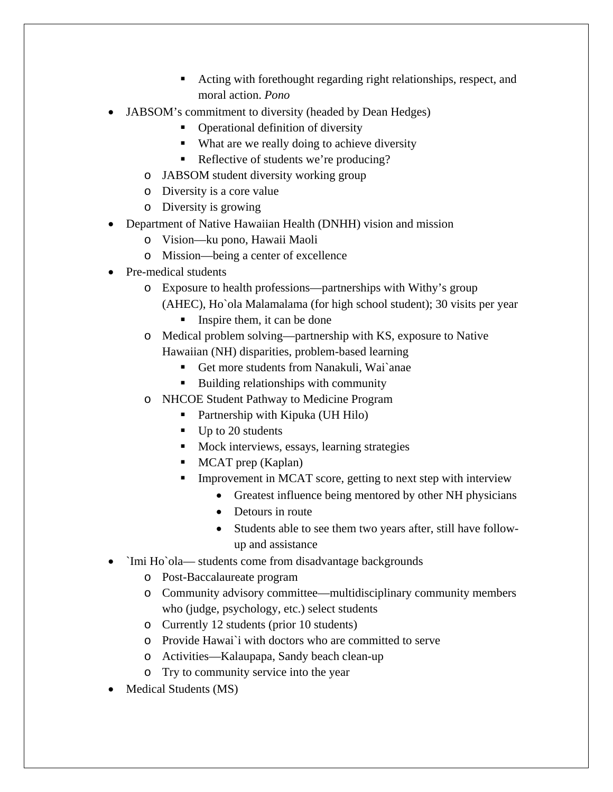- Acting with forethought regarding right relationships, respect, and moral action. *Pono*
- JABSOM's commitment to diversity (headed by Dean Hedges)
	- Operational definition of diversity
	- What are we really doing to achieve diversity
	- Reflective of students we're producing?
	- o JABSOM student diversity working group
	- o Diversity is a core value
	- o Diversity is growing
- Department of Native Hawaiian Health (DNHH) vision and mission
	- o Vision—ku pono, Hawaii Maoli
	- o Mission—being a center of excellence
- Pre-medical students
	- o Exposure to health professions—partnerships with Withy's group (AHEC), Ho`ola Malamalama (for high school student); 30 visits per year
		- Inspire them, it can be done
	- o Medical problem solving—partnership with KS, exposure to Native Hawaiian (NH) disparities, problem-based learning
		- Get more students from Nanakuli, Wai`anae
		- Building relationships with community
	- o NHCOE Student Pathway to Medicine Program
		- Partnership with Kipuka (UH Hilo)
		- $\blacksquare$  Up to 20 students
		- **Mock interviews, essays, learning strategies**
		- $MCAT$  prep (Kaplan)
		- Improvement in MCAT score, getting to next step with interview
			- Greatest influence being mentored by other NH physicians
			- Detours in route
			- Students able to see them two years after, still have followup and assistance
- `Imi Ho`ola— students come from disadvantage backgrounds
	- o Post-Baccalaureate program
	- o Community advisory committee—multidisciplinary community members who (judge, psychology, etc.) select students
	- o Currently 12 students (prior 10 students)
	- o Provide Hawai`i with doctors who are committed to serve
	- o Activities—Kalaupapa, Sandy beach clean-up
	- o Try to community service into the year
- Medical Students (MS)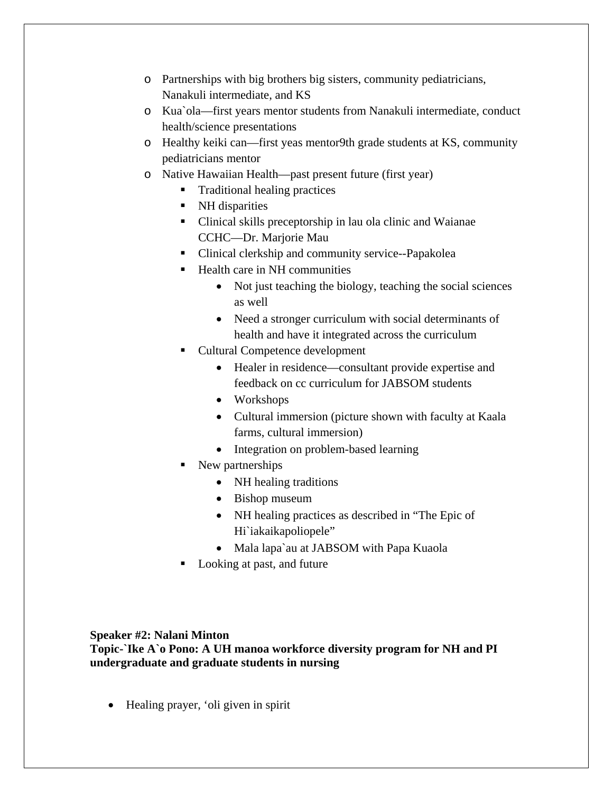- o Partnerships with big brothers big sisters, community pediatricians, Nanakuli intermediate, and KS
- o Kua`ola—first years mentor students from Nanakuli intermediate, conduct health/science presentations
- o Healthy keiki can—first yeas mentor9th grade students at KS, community pediatricians mentor
- o Native Hawaiian Health—past present future (first year)
	- **Traditional healing practices**
	- NH disparities
	- Clinical skills preceptorship in lau ola clinic and Waianae CCHC—Dr. Marjorie Mau
	- Clinical clerkship and community service--Papakolea
	- **Health care in NH communities** 
		- Not just teaching the biology, teaching the social sciences as well
		- Need a stronger curriculum with social determinants of health and have it integrated across the curriculum
	- Cultural Competence development
		- Healer in residence—consultant provide expertise and feedback on cc curriculum for JABSOM students
		- Workshops
		- Cultural immersion (picture shown with faculty at Kaala farms, cultural immersion)
		- Integration on problem-based learning
	- New partnerships
		- NH healing traditions
		- Bishop museum
		- NH healing practices as described in "The Epic of Hi`iakaikapoliopele"
		- Mala lapa`au at JABSOM with Papa Kuaola
	- Looking at past, and future

#### **Speaker #2: Nalani Minton**

**Topic-`Ike A`o Pono: A UH manoa workforce diversity program for NH and PI undergraduate and graduate students in nursing** 

• Healing prayer, 'oli given in spirit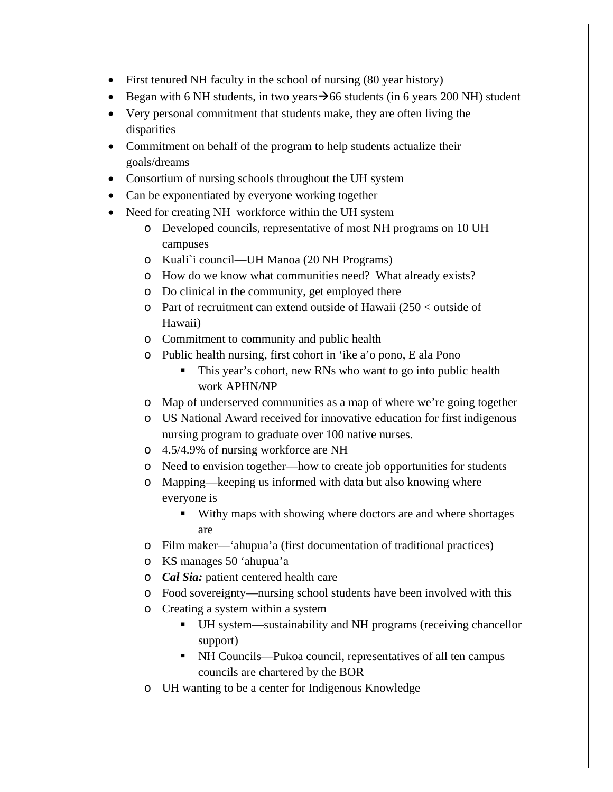- First tenured NH faculty in the school of nursing (80 year history)
- Began with 6 NH students, in two years  $\rightarrow$  66 students (in 6 years 200 NH) student
- Very personal commitment that students make, they are often living the disparities
- Commitment on behalf of the program to help students actualize their goals/dreams
- Consortium of nursing schools throughout the UH system
- Can be exponentiated by everyone working together
- Need for creating NH workforce within the UH system
	- o Developed councils, representative of most NH programs on 10 UH campuses
	- o Kuali`i council—UH Manoa (20 NH Programs)
	- o How do we know what communities need? What already exists?
	- o Do clinical in the community, get employed there
	- o Part of recruitment can extend outside of Hawaii (250 < outside of Hawaii)
	- o Commitment to community and public health
	- o Public health nursing, first cohort in 'ike a'o pono, E ala Pono
		- This year's cohort, new RNs who want to go into public health work APHN/NP
	- o Map of underserved communities as a map of where we're going together
	- o US National Award received for innovative education for first indigenous nursing program to graduate over 100 native nurses.
	- o 4.5/4.9% of nursing workforce are NH
	- o Need to envision together—how to create job opportunities for students
	- o Mapping—keeping us informed with data but also knowing where everyone is
		- Withy maps with showing where doctors are and where shortages are
	- o Film maker—'ahupua'a (first documentation of traditional practices)
	- o KS manages 50 'ahupua'a
	- o *Cal Sia:* patient centered health care
	- o Food sovereignty—nursing school students have been involved with this
	- o Creating a system within a system
		- UH system—sustainability and NH programs (receiving chancellor support)
		- NH Councils—Pukoa council, representatives of all ten campus councils are chartered by the BOR
	- o UH wanting to be a center for Indigenous Knowledge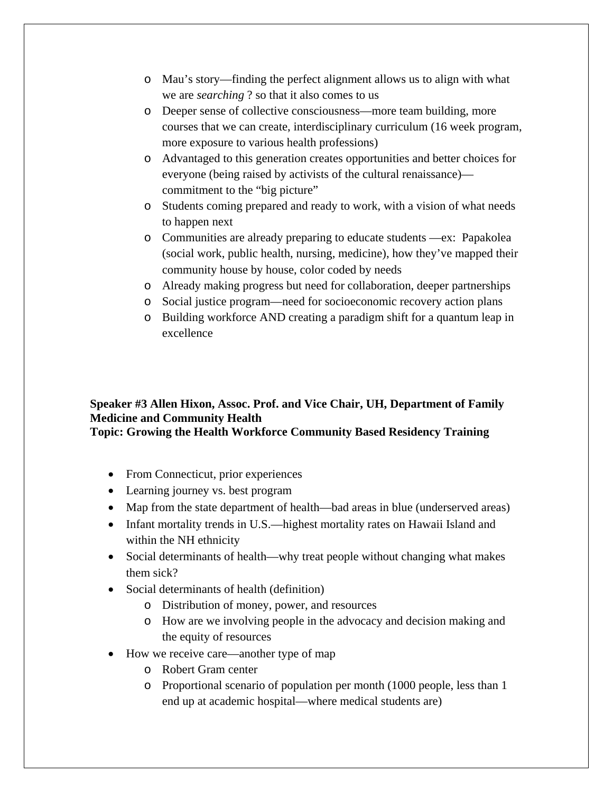- o Mau's story—finding the perfect alignment allows us to align with what we are *searching* ? so that it also comes to us
- o Deeper sense of collective consciousness—more team building, more courses that we can create, interdisciplinary curriculum (16 week program, more exposure to various health professions)
- o Advantaged to this generation creates opportunities and better choices for everyone (being raised by activists of the cultural renaissance) commitment to the "big picture"
- o Students coming prepared and ready to work, with a vision of what needs to happen next
- o Communities are already preparing to educate students —ex: Papakolea (social work, public health, nursing, medicine), how they've mapped their community house by house, color coded by needs
- o Already making progress but need for collaboration, deeper partnerships
- o Social justice program—need for socioeconomic recovery action plans
- o Building workforce AND creating a paradigm shift for a quantum leap in excellence

# **Speaker #3 Allen Hixon, Assoc. Prof. and Vice Chair, UH, Department of Family Medicine and Community Health Topic: Growing the Health Workforce Community Based Residency Training**

- From Connecticut, prior experiences
- Learning journey vs. best program
- Map from the state department of health—bad areas in blue (underserved areas)
- Infant mortality trends in U.S.—highest mortality rates on Hawaii Island and within the NH ethnicity
- Social determinants of health—why treat people without changing what makes them sick?
- Social determinants of health (definition)
	- o Distribution of money, power, and resources
	- o How are we involving people in the advocacy and decision making and the equity of resources
- How we receive care—another type of map
	- o Robert Gram center
	- o Proportional scenario of population per month (1000 people, less than 1 end up at academic hospital—where medical students are)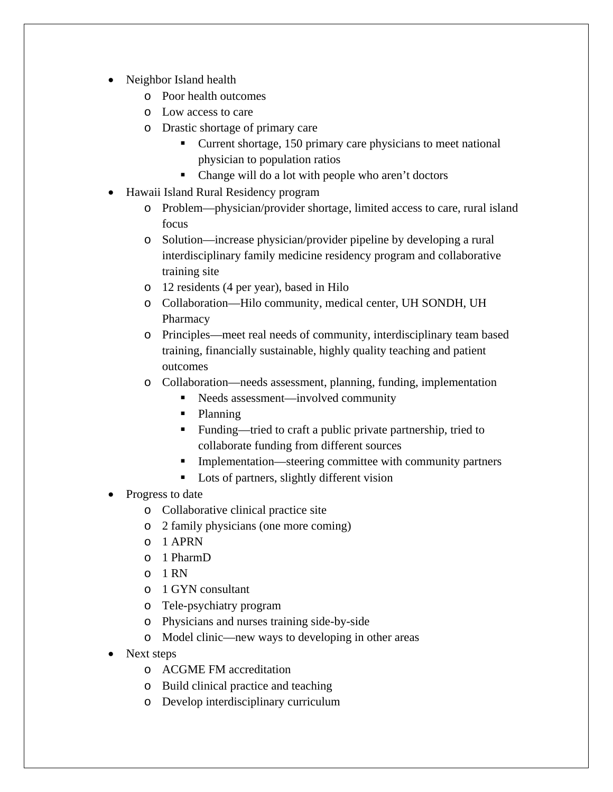- Neighbor Island health
	- o Poor health outcomes
	- o Low access to care
	- o Drastic shortage of primary care
		- Current shortage, 150 primary care physicians to meet national physician to population ratios
		- Change will do a lot with people who aren't doctors
- Hawaii Island Rural Residency program
	- o Problem—physician/provider shortage, limited access to care, rural island focus
	- o Solution—increase physician/provider pipeline by developing a rural interdisciplinary family medicine residency program and collaborative training site
	- o 12 residents (4 per year), based in Hilo
	- o Collaboration—Hilo community, medical center, UH SONDH, UH Pharmacy
	- o Principles—meet real needs of community, interdisciplinary team based training, financially sustainable, highly quality teaching and patient outcomes
	- o Collaboration—needs assessment, planning, funding, implementation
		- Needs assessment—involved community
		- Planning
		- Funding—tried to craft a public private partnership, tried to collaborate funding from different sources
		- **Implementation—steering committee with community partners**
		- **Lots of partners, slightly different vision**
- Progress to date
	- o Collaborative clinical practice site
	- o 2 family physicians (one more coming)
	- o 1 APRN
	- o 1 PharmD
	- o 1 RN
	- o 1 GYN consultant
	- o Tele-psychiatry program
	- o Physicians and nurses training side-by-side
	- o Model clinic—new ways to developing in other areas
- Next steps
	- o ACGME FM accreditation
	- o Build clinical practice and teaching
	- o Develop interdisciplinary curriculum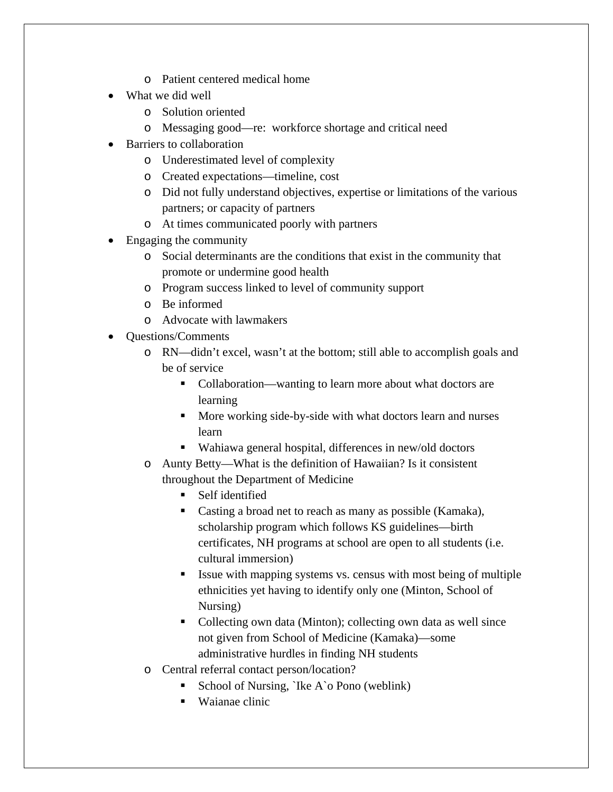- o Patient centered medical home
- What we did well
	- o Solution oriented
	- o Messaging good—re: workforce shortage and critical need
- Barriers to collaboration
	- o Underestimated level of complexity
	- o Created expectations—timeline, cost
	- o Did not fully understand objectives, expertise or limitations of the various partners; or capacity of partners
	- o At times communicated poorly with partners
- Engaging the community
	- o Social determinants are the conditions that exist in the community that promote or undermine good health
	- o Program success linked to level of community support
	- o Be informed
	- o Advocate with lawmakers
- Questions/Comments
	- o RN—didn't excel, wasn't at the bottom; still able to accomplish goals and be of service
		- Collaboration—wanting to learn more about what doctors are learning
		- **More working side-by-side with what doctors learn and nurses** learn
		- Wahiawa general hospital, differences in new/old doctors
	- o Aunty Betty—What is the definition of Hawaiian? Is it consistent throughout the Department of Medicine
		- **Self** identified
		- Casting a broad net to reach as many as possible (Kamaka), scholarship program which follows KS guidelines—birth certificates, NH programs at school are open to all students (i.e. cultural immersion)
		- Issue with mapping systems vs. census with most being of multiple ethnicities yet having to identify only one (Minton, School of Nursing)
		- Collecting own data (Minton); collecting own data as well since not given from School of Medicine (Kamaka)—some administrative hurdles in finding NH students
	- o Central referral contact person/location?
		- School of Nursing, `Ike A`o Pono (weblink)
		- Waianae clinic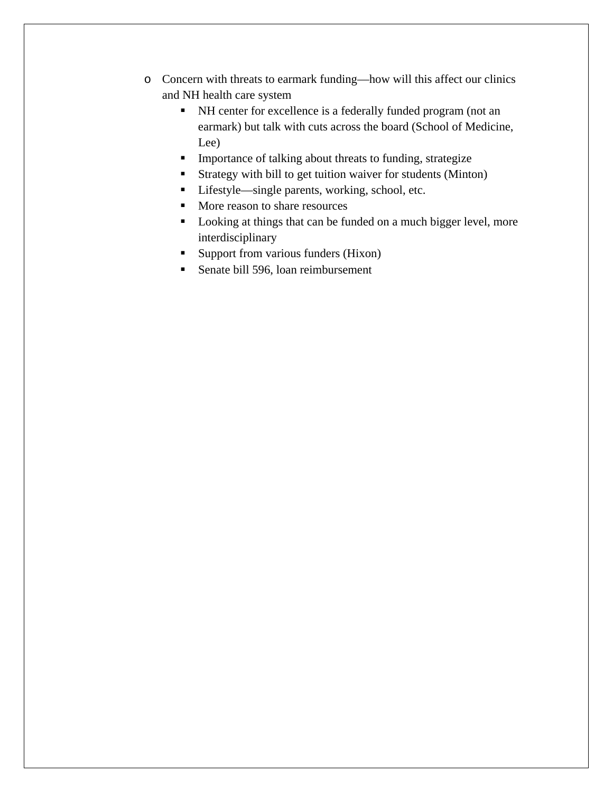- o Concern with threats to earmark funding—how will this affect our clinics and NH health care system
	- NH center for excellence is a federally funded program (not an earmark) but talk with cuts across the board (School of Medicine, Lee)
	- **Importance of talking about threats to funding, strategize**
	- Strategy with bill to get tuition waiver for students (Minton)
	- Lifestyle—single parents, working, school, etc.
	- More reason to share resources
	- Looking at things that can be funded on a much bigger level, more interdisciplinary
	- Support from various funders (Hixon)
	- Senate bill 596, loan reimbursement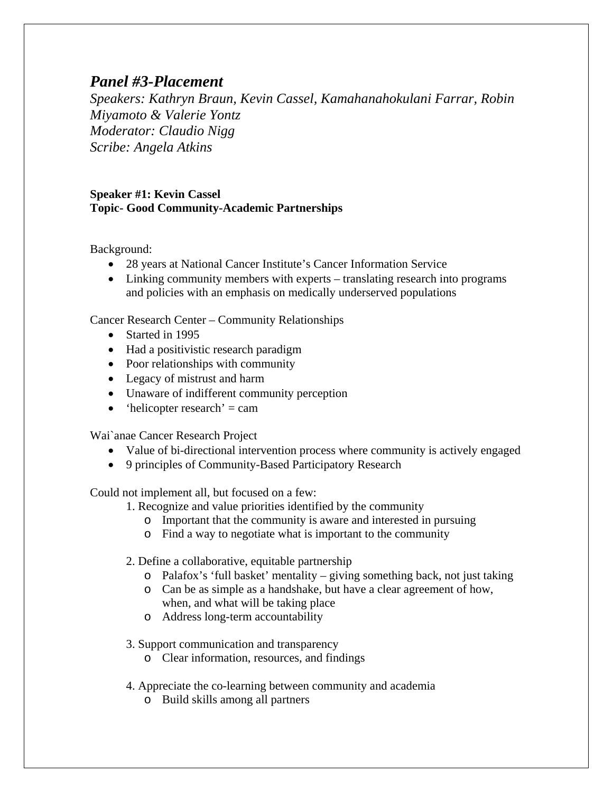# *Panel #3-Placement*

*Speakers: Kathryn Braun, Kevin Cassel, Kamahanahokulani Farrar, Robin Miyamoto & Valerie Yontz Moderator: Claudio Nigg Scribe: Angela Atkins* 

#### **Speaker #1: Kevin Cassel Topic- Good Community-Academic Partnerships**

Background:

- 28 years at National Cancer Institute's Cancer Information Service
- Linking community members with experts translating research into programs and policies with an emphasis on medically underserved populations

Cancer Research Center – Community Relationships

- Started in 1995
- Had a positivistic research paradigm
- Poor relationships with community
- Legacy of mistrust and harm
- Unaware of indifferent community perception
- $\bullet$  'helicopter research' = cam

Wai`anae Cancer Research Project

- Value of bi-directional intervention process where community is actively engaged
- 9 principles of Community-Based Participatory Research

Could not implement all, but focused on a few:

- 1. Recognize and value priorities identified by the community
	- o Important that the community is aware and interested in pursuing
	- o Find a way to negotiate what is important to the community
- 2. Define a collaborative, equitable partnership
	- o Palafox's 'full basket' mentality giving something back, not just taking
	- o Can be as simple as a handshake, but have a clear agreement of how, when, and what will be taking place
	- o Address long-term accountability
- 3. Support communication and transparency
	- o Clear information, resources, and findings
- 4. Appreciate the co-learning between community and academia
	- o Build skills among all partners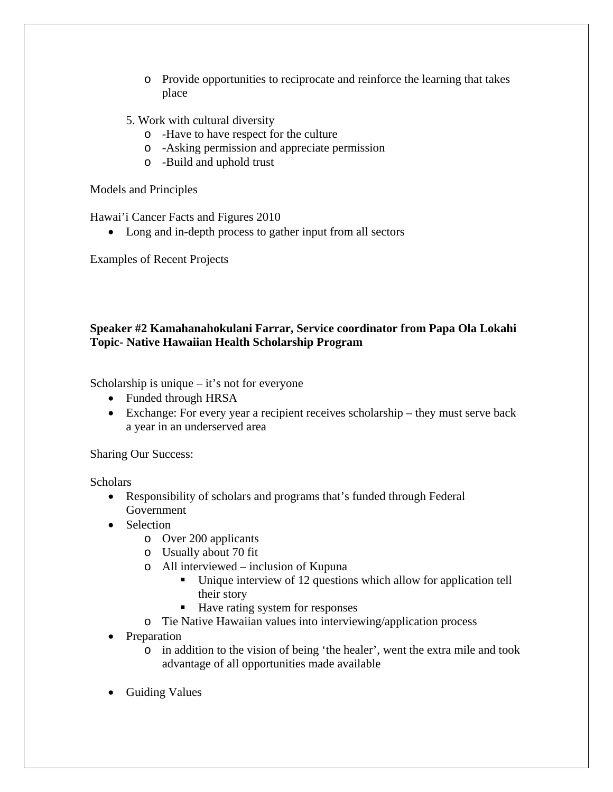- o Provide opportunities to reciprocate and reinforce the learning that takes place
- 5. Work with cultural diversity
	- o -Have to have respect for the culture
	- o -Asking permission and appreciate permission
	- o -Build and uphold trust

Models and Principles

Hawai'i Cancer Facts and Figures 2010

• Long and in-depth process to gather input from all sectors

Examples of Recent Projects

# **Speaker #2 Kamahanahokulani Farrar, Service coordinator from Papa Ola Lokahi Topic- Native Hawaiian Health Scholarship Program**

Scholarship is unique – it's not for everyone

- Funded through HRSA
- Exchange: For every year a recipient receives scholarship they must serve back a year in an underserved area

Sharing Our Success:

**Scholars** 

- Responsibility of scholars and programs that's funded through Federal Government
- Selection
	- o Over 200 applicants
	- o Usually about 70 fit
	- o All interviewed inclusion of Kupuna
		- Unique interview of 12 questions which allow for application tell their story
		- Have rating system for responses
	- o Tie Native Hawaiian values into interviewing/application process
- Preparation
	- o in addition to the vision of being 'the healer', went the extra mile and took advantage of all opportunities made available
- Guiding Values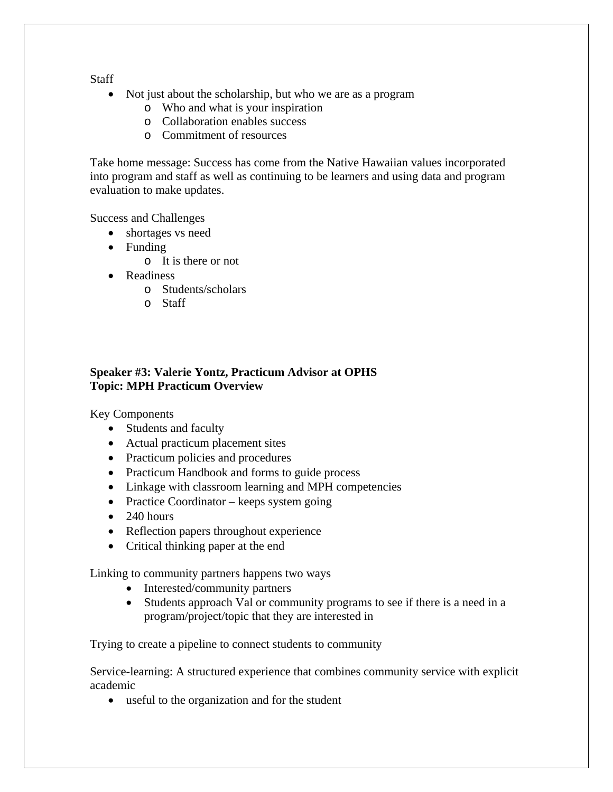**Staff** 

- Not just about the scholarship, but who we are as a program
	- o Who and what is your inspiration
	- o Collaboration enables success
	- o Commitment of resources

Take home message: Success has come from the Native Hawaiian values incorporated into program and staff as well as continuing to be learners and using data and program evaluation to make updates.

Success and Challenges

- shortages vs need
- Funding
	- o It is there or not
- Readiness
	- o Students/scholars
	- o Staff

# **Speaker #3: Valerie Yontz, Practicum Advisor at OPHS Topic: MPH Practicum Overview**

Key Components

- Students and faculty
- Actual practicum placement sites
- Practicum policies and procedures
- Practicum Handbook and forms to guide process
- Linkage with classroom learning and MPH competencies
- Practice Coordinator keeps system going
- $\bullet$  240 hours
- Reflection papers throughout experience
- Critical thinking paper at the end

Linking to community partners happens two ways

- Interested/community partners
- Students approach Val or community programs to see if there is a need in a program/project/topic that they are interested in

Trying to create a pipeline to connect students to community

Service-learning: A structured experience that combines community service with explicit academic

useful to the organization and for the student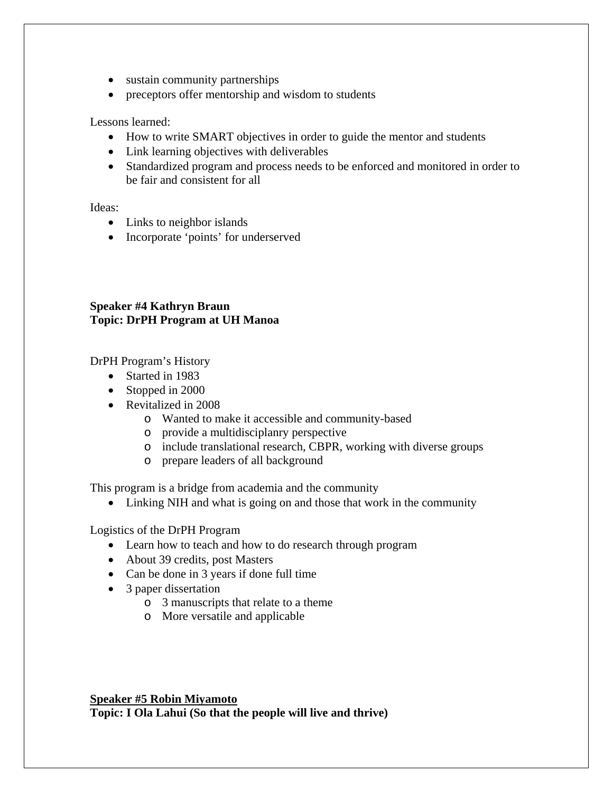- sustain community partnerships
- preceptors offer mentorship and wisdom to students

Lessons learned:

- How to write SMART objectives in order to guide the mentor and students
- Link learning objectives with deliverables
- Standardized program and process needs to be enforced and monitored in order to be fair and consistent for all

Ideas:

- Links to neighbor islands
- Incorporate 'points' for underserved

# **Speaker #4 Kathryn Braun Topic: DrPH Program at UH Manoa**

DrPH Program's History

- Started in 1983
- Stopped in 2000
- Revitalized in 2008
	- o Wanted to make it accessible and community-based
	- o provide a multidisciplanry perspective
	- o include translational research, CBPR, working with diverse groups
	- o prepare leaders of all background

This program is a bridge from academia and the community

• Linking NIH and what is going on and those that work in the community

Logistics of the DrPH Program

- Learn how to teach and how to do research through program
- About 39 credits, post Masters
- Can be done in 3 years if done full time
- 3 paper dissertation
	- o 3 manuscripts that relate to a theme
	- o More versatile and applicable

**Speaker #5 Robin Miyamoto Topic: I Ola Lahui (So that the people will live and thrive)**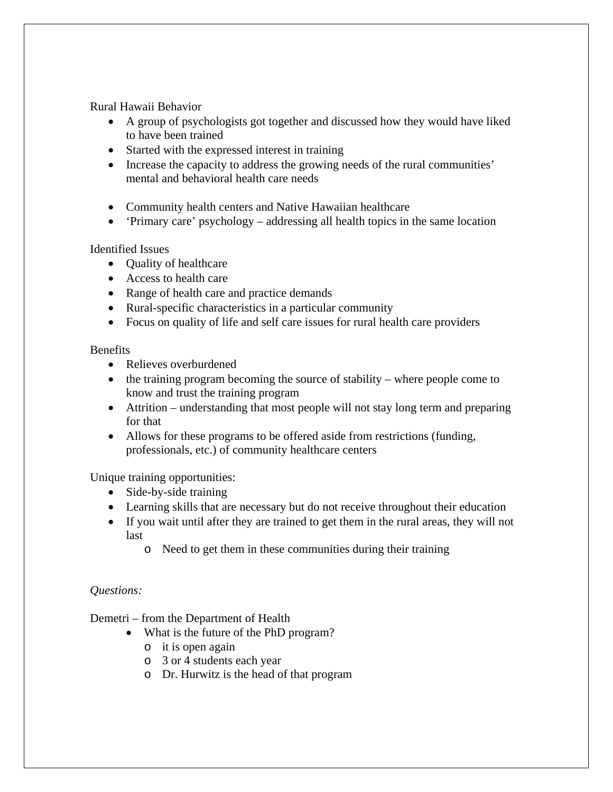Rural Hawaii Behavior

- A group of psychologists got together and discussed how they would have liked to have been trained
- Started with the expressed interest in training
- Increase the capacity to address the growing needs of the rural communities' mental and behavioral health care needs
- Community health centers and Native Hawaiian healthcare
- 'Primary care' psychology addressing all health topics in the same location

Identified Issues

- Ouality of healthcare
- Access to health care
- Range of health care and practice demands
- Rural-specific characteristics in a particular community
- Focus on quality of life and self care issues for rural health care providers

#### Benefits

- Relieves overburdened
- $\bullet$  the training program becoming the source of stability where people come to know and trust the training program
- Attrition understanding that most people will not stay long term and preparing for that
- Allows for these programs to be offered aside from restrictions (funding, professionals, etc.) of community healthcare centers

Unique training opportunities:

- Side-by-side training
- Learning skills that are necessary but do not receive throughout their education
- If you wait until after they are trained to get them in the rural areas, they will not last
	- o Need to get them in these communities during their training

#### *Questions:*

Demetri – from the Department of Health

- What is the future of the PhD program?
	- o it is open again
	- o 3 or 4 students each year
	- o Dr. Hurwitz is the head of that program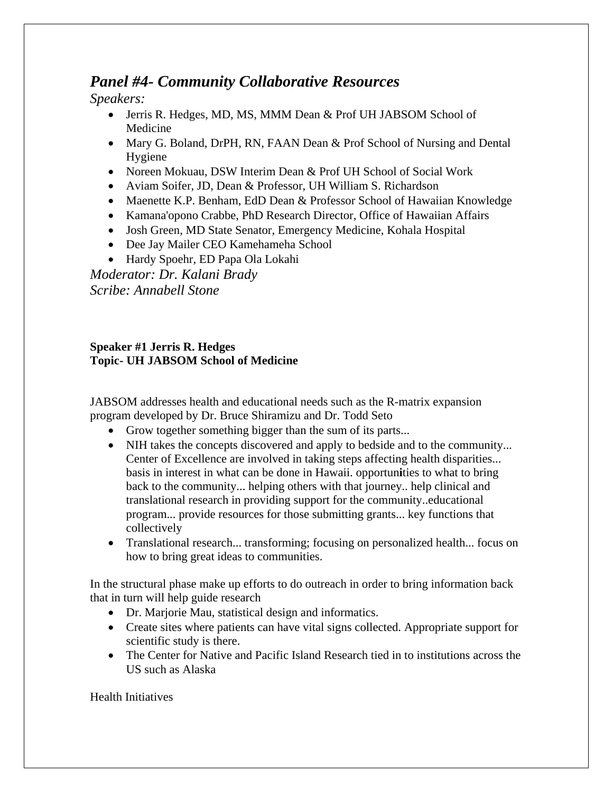# *Panel #4- Community Collaborative Resources*

*Speakers:* 

- Jerris R. Hedges, MD, MS, MMM Dean & Prof UH JABSOM School of Medicine
- Mary G. Boland, DrPH, RN, FAAN Dean & Prof School of Nursing and Dental Hygiene
- Noreen Mokuau, DSW Interim Dean & Prof UH School of Social Work
- Aviam Soifer, JD, Dean & Professor, UH William S. Richardson
- Maenette K.P. Benham, EdD Dean & Professor School of Hawaiian Knowledge
- Kamana'opono Crabbe, PhD Research Director, Office of Hawaiian Affairs
- Josh Green, MD State Senator, Emergency Medicine, Kohala Hospital
- Dee Jay Mailer CEO Kamehameha School
- Hardy Spoehr, ED Papa Ola Lokahi

*Moderator: Dr. Kalani Brady Scribe: Annabell Stone* 

# **Speaker #1 Jerris R. Hedges Topic- UH JABSOM School of Medicine**

JABSOM addresses health and educational needs such as the R-matrix expansion program developed by Dr. Bruce Shiramizu and Dr. Todd Seto

- Grow together something bigger than the sum of its parts...
- NIH takes the concepts discovered and apply to bedside and to the community... Center of Excellence are involved in taking steps affecting health disparities... basis in interest in what can be done in Hawaii. opportun**i**ties to what to bring back to the community... helping others with that journey.. help clinical and translational research in providing support for the community..educational program... provide resources for those submitting grants... key functions that collectively
- Translational research... transforming; focusing on personalized health... focus on how to bring great ideas to communities.

In the structural phase make up efforts to do outreach in order to bring information back that in turn will help guide research

- Dr. Marjorie Mau, statistical design and informatics.
- Create sites where patients can have vital signs collected. Appropriate support for scientific study is there.
- The Center for Native and Pacific Island Research tied in to institutions across the US such as Alaska

Health Initiatives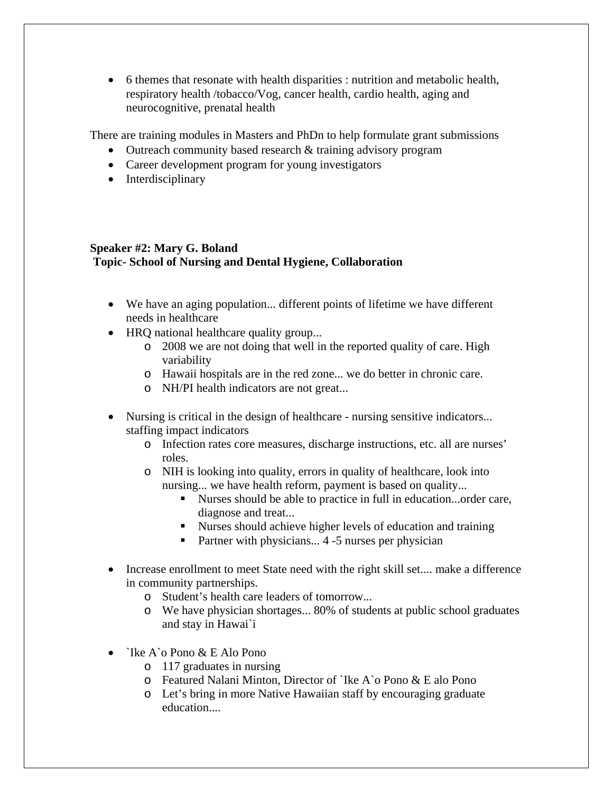6 themes that resonate with health disparities : nutrition and metabolic health, respiratory health /tobacco/Vog, cancer health, cardio health, aging and neurocognitive, prenatal health

There are training modules in Masters and PhDn to help formulate grant submissions

- Outreach community based research & training advisory program
- Career development program for young investigators
- Interdisciplinary

# **Speaker #2: Mary G. Boland Topic- School of Nursing and Dental Hygiene, Collaboration**

- We have an aging population... different points of lifetime we have different needs in healthcare
- HRQ national healthcare quality group...
	- o 2008 we are not doing that well in the reported quality of care. High variability
	- o Hawaii hospitals are in the red zone... we do better in chronic care.
	- o NH/PI health indicators are not great...
- Nursing is critical in the design of healthcare nursing sensitive indicators... staffing impact indicators
	- o Infection rates core measures, discharge instructions, etc. all are nurses' roles.
	- o NIH is looking into quality, errors in quality of healthcare, look into nursing... we have health reform, payment is based on quality...
		- Nurses should be able to practice in full in education...order care, diagnose and treat...
		- Nurses should achieve higher levels of education and training
		- Partner with physicians...  $4 5$  nurses per physician
- Increase enrollment to meet State need with the right skill set.... make a difference in community partnerships.
	- o Student's health care leaders of tomorrow...
	- o We have physician shortages... 80% of students at public school graduates and stay in Hawai`i
- $\bullet$  `Ike A`o Pono & E Alo Pono
	- o 117 graduates in nursing
	- o Featured Nalani Minton, Director of `Ike A`o Pono & E alo Pono
	- o Let's bring in more Native Hawaiian staff by encouraging graduate education....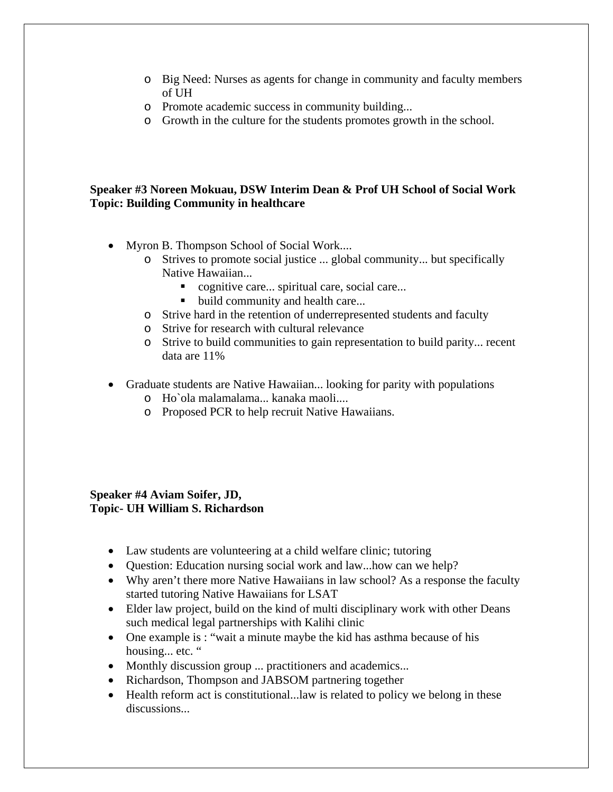- o Big Need: Nurses as agents for change in community and faculty members of UH
- o Promote academic success in community building...
- o Growth in the culture for the students promotes growth in the school.

# **Speaker #3 Noreen Mokuau, DSW Interim Dean & Prof UH School of Social Work Topic: Building Community in healthcare**

- Myron B. Thompson School of Social Work....
	- o Strives to promote social justice ... global community... but specifically Native Hawaiian...
		- cognitive care... spiritual care, social care...
		- build community and health care...
	- o Strive hard in the retention of underrepresented students and faculty
	- o Strive for research with cultural relevance
	- o Strive to build communities to gain representation to build parity... recent data are 11%
- Graduate students are Native Hawaiian... looking for parity with populations
	- o Ho`ola malamalama... kanaka maoli....
	- o Proposed PCR to help recruit Native Hawaiians.

# **Speaker #4 Aviam Soifer, JD, Topic- UH William S. Richardson**

- Law students are volunteering at a child welfare clinic; tutoring
- Question: Education nursing social work and law...how can we help?
- Why aren't there more Native Hawaiians in law school? As a response the faculty started tutoring Native Hawaiians for LSAT
- Elder law project, build on the kind of multi disciplinary work with other Deans such medical legal partnerships with Kalihi clinic
- One example is : "wait a minute maybe the kid has asthma because of his housing... etc. "
- Monthly discussion group ... practitioners and academics...
- Richardson, Thompson and JABSOM partnering together
- Health reform act is constitutional...law is related to policy we belong in these discussions...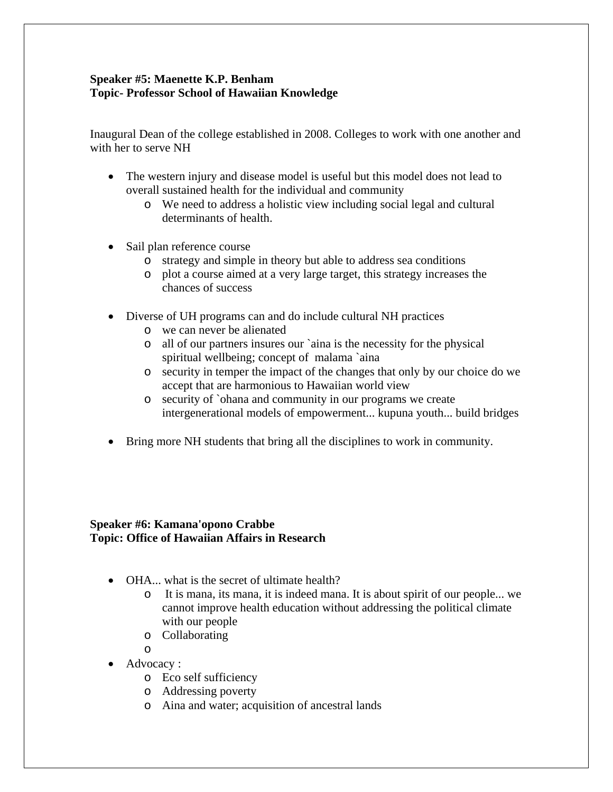# **Speaker #5: Maenette K.P. Benham Topic- Professor School of Hawaiian Knowledge**

Inaugural Dean of the college established in 2008. Colleges to work with one another and with her to serve NH

- The western injury and disease model is useful but this model does not lead to overall sustained health for the individual and community
	- o We need to address a holistic view including social legal and cultural determinants of health.
- Sail plan reference course
	- o strategy and simple in theory but able to address sea conditions
	- o plot a course aimed at a very large target, this strategy increases the chances of success
- Diverse of UH programs can and do include cultural NH practices
	- o we can never be alienated
	- o all of our partners insures our `aina is the necessity for the physical spiritual wellbeing; concept of malama `aina
	- o security in temper the impact of the changes that only by our choice do we accept that are harmonious to Hawaiian world view
	- o security of `ohana and community in our programs we create intergenerational models of empowerment... kupuna youth... build bridges
- Bring more NH students that bring all the disciplines to work in community.

# **Speaker #6: Kamana'opono Crabbe Topic: Office of Hawaiian Affairs in Research**

- OHA... what is the secret of ultimate health?
	- o It is mana, its mana, it is indeed mana. It is about spirit of our people... we cannot improve health education without addressing the political climate with our people
	- o Collaborating

o

- Advocacy :
	- o Eco self sufficiency
	- o Addressing poverty
	- o Aina and water; acquisition of ancestral lands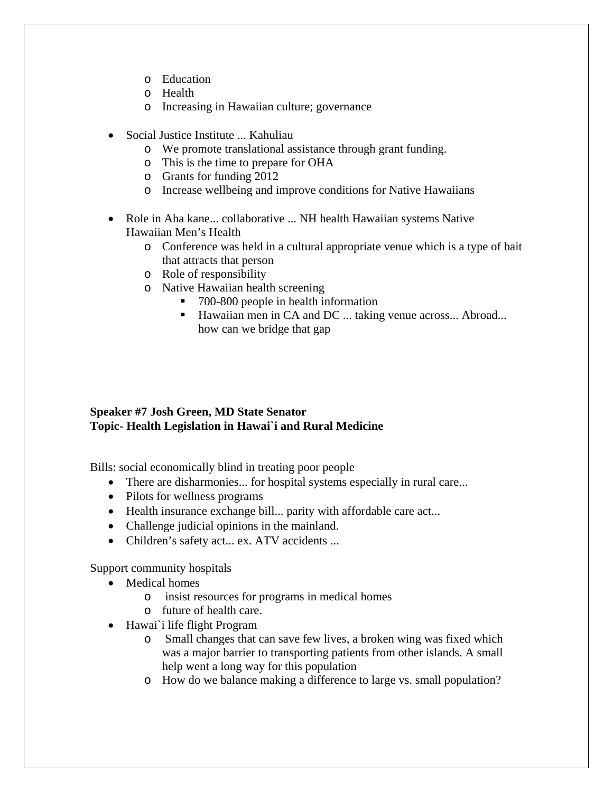- o Education
- o Health
- o Increasing in Hawaiian culture; governance
- Social Justice Institute ... Kahuliau
	- o We promote translational assistance through grant funding.
	- o This is the time to prepare for OHA
	- o Grants for funding 2012
	- o Increase wellbeing and improve conditions for Native Hawaiians
- Role in Aha kane... collaborative ... NH health Hawaiian systems Native Hawaiian Men's Health
	- o Conference was held in a cultural appropriate venue which is a type of bait that attracts that person
	- o Role of responsibility
	- o Native Hawaiian health screening
		- 700-800 people in health information
		- Hawaiian men in CA and DC ... taking venue across... Abroad... how can we bridge that gap

#### **Speaker #7 Josh Green, MD State Senator Topic- Health Legislation in Hawai`i and Rural Medicine**

Bills: social economically blind in treating poor people

- There are disharmonies... for hospital systems especially in rural care...
- Pilots for wellness programs
- Health insurance exchange bill... parity with affordable care act...
- Challenge judicial opinions in the mainland.
- Children's safety act... ex. ATV accidents ...

Support community hospitals

- Medical homes
	- o insist resources for programs in medical homes
	- o future of health care.
- Hawai`i life flight Program
	- o Small changes that can save few lives, a broken wing was fixed which was a major barrier to transporting patients from other islands. A small help went a long way for this population
	- o How do we balance making a difference to large vs. small population?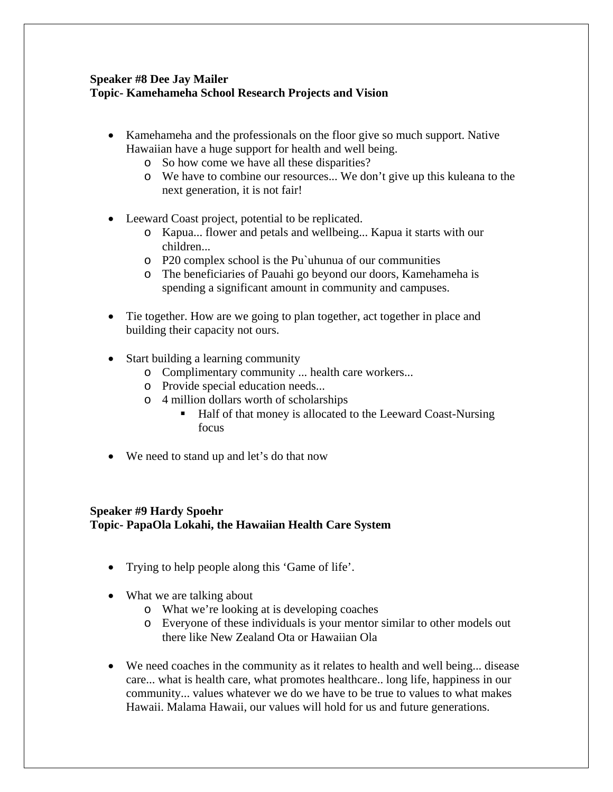# **Speaker #8 Dee Jay Mailer Topic- Kamehameha School Research Projects and Vision**

- Kamehameha and the professionals on the floor give so much support. Native Hawaiian have a huge support for health and well being.
	- o So how come we have all these disparities?
	- o We have to combine our resources... We don't give up this kuleana to the next generation, it is not fair!
- Leeward Coast project, potential to be replicated.
	- o Kapua... flower and petals and wellbeing... Kapua it starts with our children...
	- o P20 complex school is the Pu`uhunua of our communities
	- o The beneficiaries of Pauahi go beyond our doors, Kamehameha is spending a significant amount in community and campuses.
- Tie together. How are we going to plan together, act together in place and building their capacity not ours.
- Start building a learning community
	- o Complimentary community ... health care workers...
	- o Provide special education needs...
	- o 4 million dollars worth of scholarships
		- Half of that money is allocated to the Leeward Coast-Nursing focus
- We need to stand up and let's do that now

# **Speaker #9 Hardy Spoehr Topic- PapaOla Lokahi, the Hawaiian Health Care System**

- Trying to help people along this 'Game of life'.
- What we are talking about
	- o What we're looking at is developing coaches
	- o Everyone of these individuals is your mentor similar to other models out there like New Zealand Ota or Hawaiian Ola
- We need coaches in the community as it relates to health and well being... disease care... what is health care, what promotes healthcare.. long life, happiness in our community... values whatever we do we have to be true to values to what makes Hawaii. Malama Hawaii, our values will hold for us and future generations.